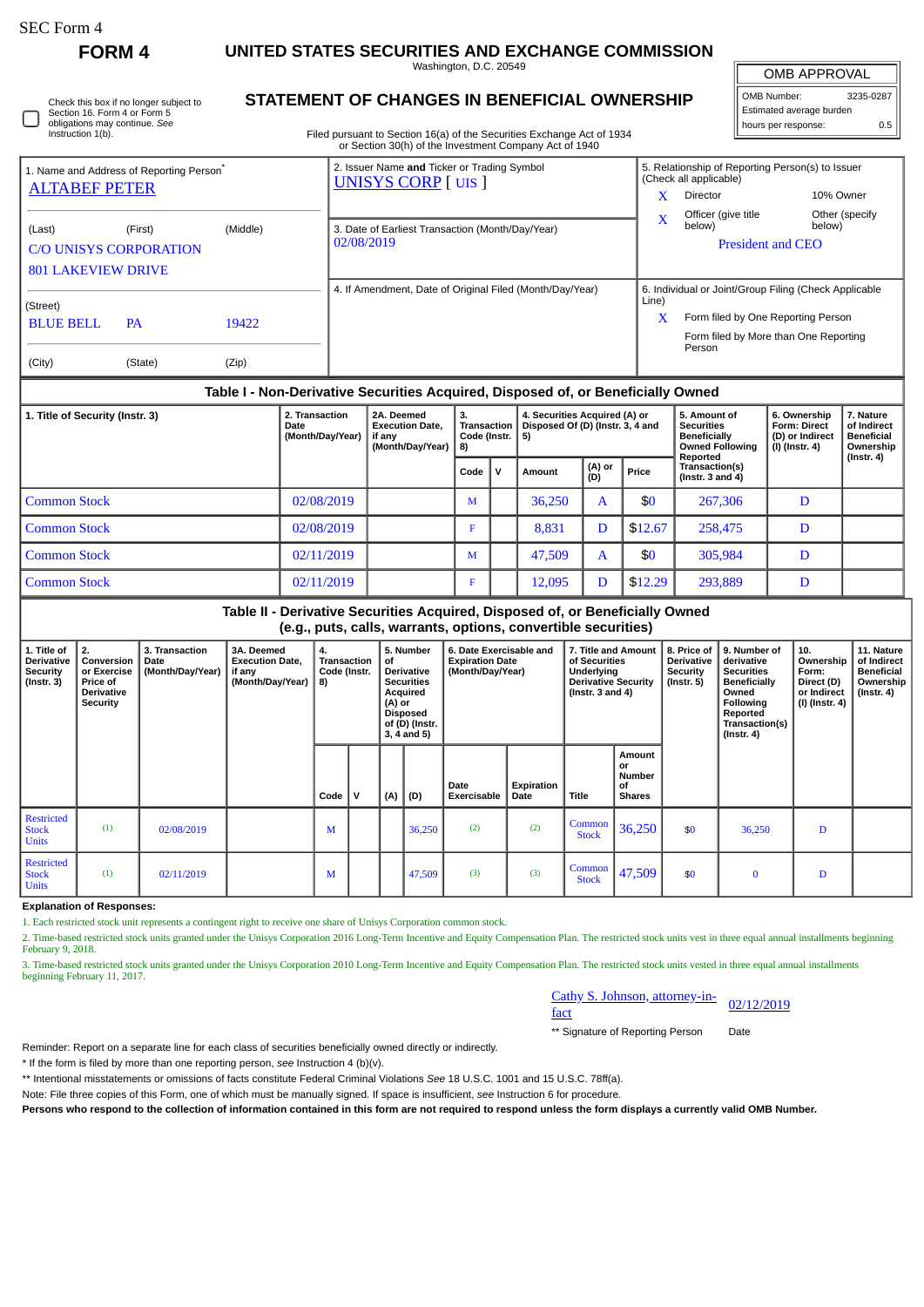∩

# **FORM 4 UNITED STATES SECURITIES AND EXCHANGE COMMISSION**

Washington, D.C. 20549

| Check this box if no longer subject to |
|----------------------------------------|
| Section 16. Form 4 or Form 5           |
| obligations may continue. See          |
| Instruction 1(b).                      |

## **STATEMENT OF CHANGES IN BENEFICIAL OWNERSHIP**

Filed pursuant to Section 16(a) of the Securities Exchange Act of 1934 or Section 30(h) of the Investment Company Act of 1940

| OMB APPROVAL             |           |  |  |  |  |  |  |  |  |
|--------------------------|-----------|--|--|--|--|--|--|--|--|
| OMB Number:              | 3235-0287 |  |  |  |  |  |  |  |  |
| Estimated average burden |           |  |  |  |  |  |  |  |  |
| hours per response:      | 0.5       |  |  |  |  |  |  |  |  |

| 1. Name and Address of Reporting Person <sup>®</sup>  |         |       | 2. Issuer Name and Ticker or Trading Symbol<br><b>UNISYS CORP</b> [UIS ] | 5. Relationship of Reporting Person(s) to Issuer<br>(Check all applicable) |                                                       |                |  |  |  |
|-------------------------------------------------------|---------|-------|--------------------------------------------------------------------------|----------------------------------------------------------------------------|-------------------------------------------------------|----------------|--|--|--|
| <b>ALTABEF PETER</b><br>(Middle)<br>(Last)<br>(First) |         |       |                                                                          | x                                                                          | Director                                              | 10% Owner      |  |  |  |
|                                                       |         |       |                                                                          | $\bf{X}$                                                                   | Officer (give title)                                  | Other (specify |  |  |  |
|                                                       |         |       | 3. Date of Earliest Transaction (Month/Day/Year)                         |                                                                            | below)                                                | below)         |  |  |  |
| <b>C/O UNISYS CORPORATION</b>                         |         |       | 02/08/2019                                                               |                                                                            | <b>President and CEO</b>                              |                |  |  |  |
| <b>801 LAKEVIEW DRIVE</b>                             |         |       |                                                                          |                                                                            |                                                       |                |  |  |  |
| (Street)                                              |         |       | 4. If Amendment, Date of Original Filed (Month/Day/Year)                 | Line)                                                                      | 6. Individual or Joint/Group Filing (Check Applicable |                |  |  |  |
| <b>BLUE BELL</b><br><b>PA</b>                         |         | 19422 |                                                                          | x                                                                          | Form filed by One Reporting Person                    |                |  |  |  |
|                                                       |         |       |                                                                          |                                                                            | Form filed by More than One Reporting<br>Person       |                |  |  |  |
| (City)                                                | (State) | (Zip) |                                                                          |                                                                            |                                                       |                |  |  |  |

#### **Table I - Non-Derivative Securities Acquired, Disposed of, or Beneficially Owned**

| 1. Title of Security (Instr. 3) | 2. Transaction<br>Date<br>(Month/Day/Year) | 2A. Deemed<br><b>Execution Date.</b><br>if any<br>(Month/Day/Year) | З.<br>Transaction  <br>Code (Instr. $  5$ )<br>8) |          | 4. Securities Acquired (A) or<br>Disposed Of (D) (Instr. 3, 4 and |               | 5. Amount of<br><b>Securities</b><br><b>Beneficially</b><br><b>Owned Following</b> | 6. Ownership<br><b>Form: Direct</b><br>(D) or Indirect<br>(I) (Instr. 4) | 7. Nature<br>of Indirect<br><b>Beneficial</b><br>Ownership |                  |
|---------------------------------|--------------------------------------------|--------------------------------------------------------------------|---------------------------------------------------|----------|-------------------------------------------------------------------|---------------|------------------------------------------------------------------------------------|--------------------------------------------------------------------------|------------------------------------------------------------|------------------|
|                                 |                                            |                                                                    | Code                                              | <b>v</b> | Amount                                                            | (A) or<br>(D) | Price                                                                              | Reported<br>Transaction(s)<br>$($ lnstr. 3 and 4 $)$                     |                                                            | $($ Instr. 4 $)$ |
| Common Stock                    | 02/08/2019                                 |                                                                    | M                                                 |          | 36.250                                                            | A             | \$0                                                                                | 267,306                                                                  | D                                                          |                  |
| l Common Stock                  | 02/08/2019                                 |                                                                    | F                                                 |          | 8,831                                                             | D             | \$12.67                                                                            | 258,475                                                                  | D                                                          |                  |
| l Common Stock                  | 02/11/2019                                 |                                                                    | M                                                 |          | 47,509                                                            | A             | \$0                                                                                | 305,984                                                                  | D                                                          |                  |
| l Common Stock                  | 02/11/2019                                 |                                                                    | F                                                 |          | 12,095                                                            | D             | \$12.29                                                                            | 293,889                                                                  | D                                                          |                  |

#### **Table II - Derivative Securities Acquired, Disposed of, or Beneficially Owned (e.g., puts, calls, warrants, options, convertible securities)**

|                                                           | .                                                                            |                                            |                                                                    |                                         |   |                                                                                                                                         |        |                                                                       |                    |                                                                                                                  |                                               |                                                                  |                                                                                                                                   |                                                                            |                                                                           |
|-----------------------------------------------------------|------------------------------------------------------------------------------|--------------------------------------------|--------------------------------------------------------------------|-----------------------------------------|---|-----------------------------------------------------------------------------------------------------------------------------------------|--------|-----------------------------------------------------------------------|--------------------|------------------------------------------------------------------------------------------------------------------|-----------------------------------------------|------------------------------------------------------------------|-----------------------------------------------------------------------------------------------------------------------------------|----------------------------------------------------------------------------|---------------------------------------------------------------------------|
| 1. Title of<br>Derivative<br>Security<br>$($ Instr. 3 $)$ | 2.<br>Conversion<br>or Exercise<br><b>Price of</b><br>Derivative<br>Security | 3. Transaction<br>Date<br>(Month/Day/Year) | 3A. Deemed<br><b>Execution Date,</b><br>if any<br>(Month/Day/Year) | 4.<br>Transaction<br>Code (Instr.<br>8) |   | 5. Number<br>of<br><b>Derivative</b><br><b>Securities</b><br>Acquired<br>(A) or<br><b>Disposed</b><br>of (D) (Instr.<br>$3, 4$ and $5)$ |        | 6. Date Exercisable and<br><b>Expiration Date</b><br>(Month/Day/Year) |                    | 7. Title and Amount<br>of Securities<br><b>Underlying</b><br><b>Derivative Security</b><br>(Instr. $3$ and $4$ ) |                                               | 8. Price of<br><b>Derivative</b><br>Security<br>$($ Instr. 5 $)$ | 9. Number of<br>derivative<br><b>Securities</b><br>Beneficially<br>Owned<br>Following<br>Reported<br>Transaction(s)<br>(Instr. 4) | 10.<br>Ownership<br>Form:<br>Direct (D)<br>or Indirect<br>ี (I) (Instr. 4) | 11. Nature<br>of Indirect<br><b>Beneficial</b><br>Ownership<br>(Instr. 4) |
|                                                           |                                                                              |                                            |                                                                    | Code                                    | v | (A)                                                                                                                                     | (D)    | Date<br>Exercisable                                                   | Expiration<br>Date | Title                                                                                                            | Amount<br>or<br>Number<br>Οf<br><b>Shares</b> |                                                                  |                                                                                                                                   |                                                                            |                                                                           |
| <b>Restricted</b><br><b>Stock</b><br><b>Units</b>         | (1)                                                                          | 02/08/2019                                 |                                                                    | M                                       |   |                                                                                                                                         | 36,250 | (2)                                                                   | (2)                | Common<br><b>Stock</b>                                                                                           | 36,250                                        | \$0                                                              | 36,250                                                                                                                            | D                                                                          |                                                                           |
| <b>Restricted</b><br><b>Stock</b><br><b>Units</b>         | (1)                                                                          | 02/11/2019                                 |                                                                    | M                                       |   |                                                                                                                                         | 47,509 | (3)                                                                   | (3)                | Common<br><b>Stock</b>                                                                                           | 47,509                                        | \$0                                                              | $\bf{0}$                                                                                                                          | D                                                                          |                                                                           |

### **Explanation of Responses:**

1. Each restricted stock unit represents a contingent right to receive one share of Unisys Corporation common stock.

2. Time-based restricted stock units granted under the Unisys Corporation 2016 Long-Term Incentive and Equity Compensation Plan. The restricted stock units vest in three equal annual installments beginning February 9, 2018.

3. Time-based restricted stock units granted under the Unisys Corporation 2010 Long-Term Incentive and Equity Compensation Plan. The restricted stock units vested in three equal annual installments beginning February 11, 2017.

# Cathy S. Johnson, attorney-in-<br>fact

\*\* Signature of Reporting Person Date

Reminder: Report on a separate line for each class of securities beneficially owned directly or indirectly.

\* If the form is filed by more than one reporting person, *see* Instruction 4 (b)(v).

\*\* Intentional misstatements or omissions of facts constitute Federal Criminal Violations *See* 18 U.S.C. 1001 and 15 U.S.C. 78ff(a).

Note: File three copies of this Form, one of which must be manually signed. If space is insufficient, *see* Instruction 6 for procedure.

**Persons who respond to the collection of information contained in this form are not required to respond unless the form displays a currently valid OMB Number.**